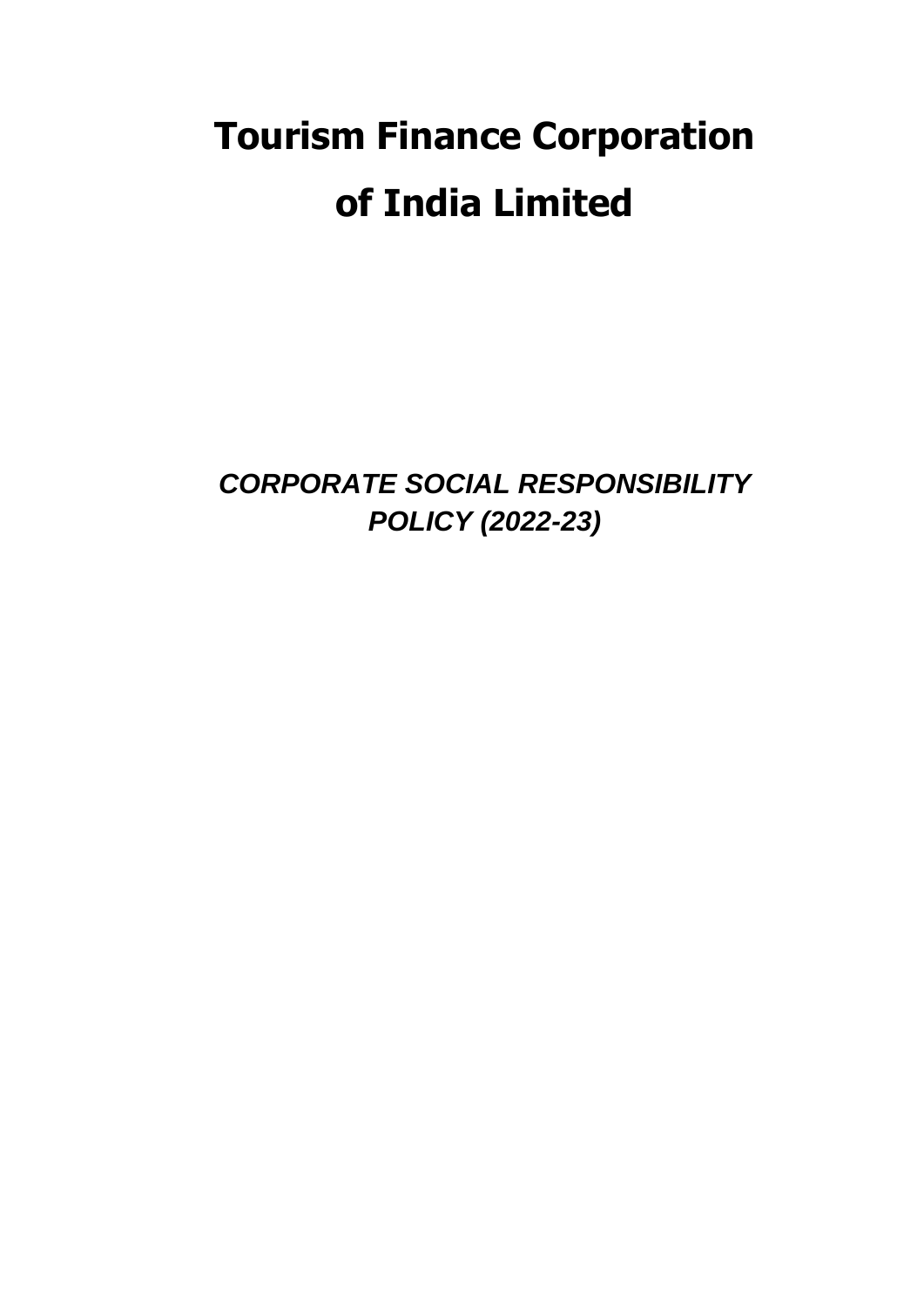# **Tourism Finance Corporation of India Limited**

*CORPORATE SOCIAL RESPONSIBILITY POLICY (2022-23)*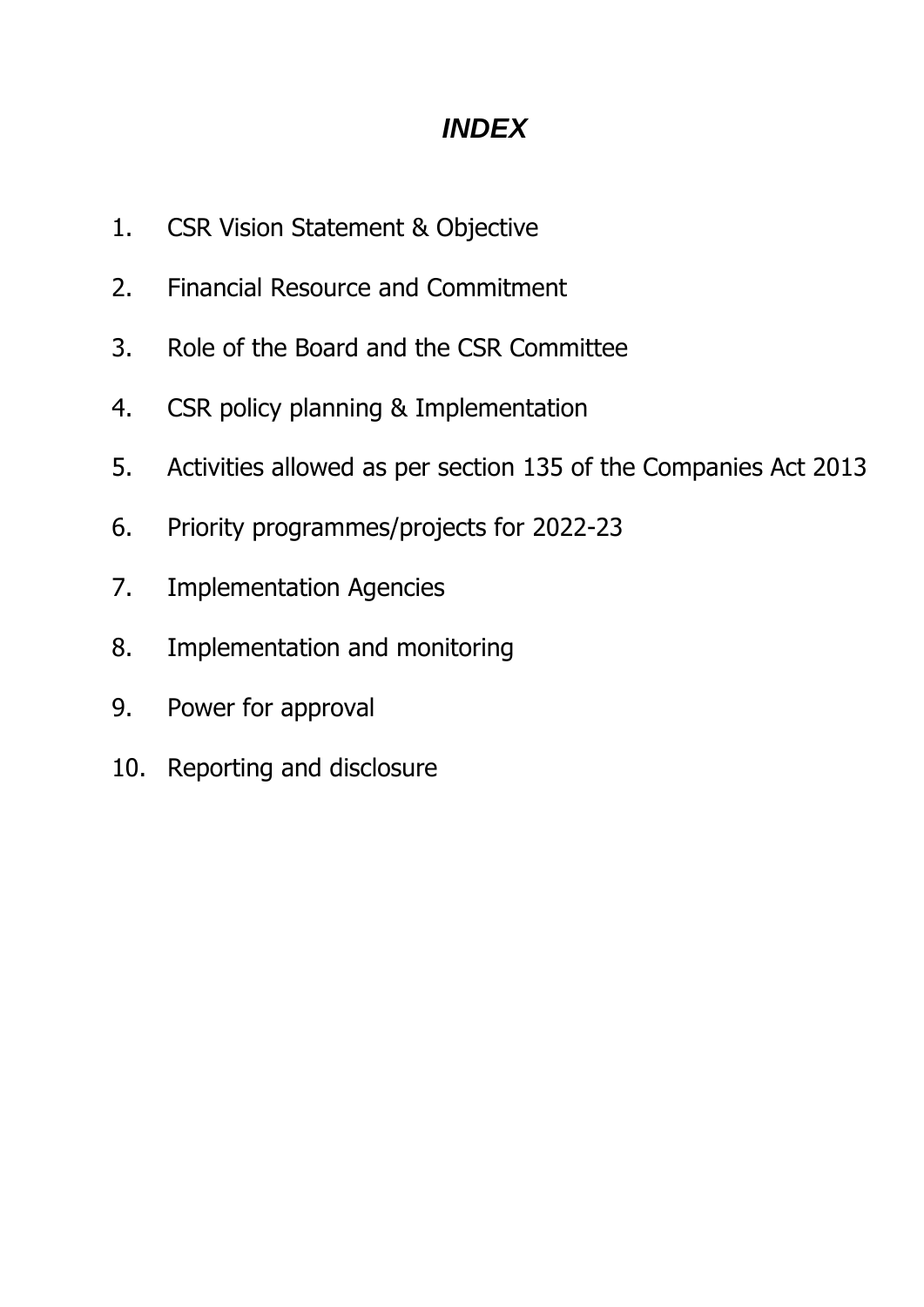# *INDEX*

- 1. CSR Vision Statement & Objective
- 2. Financial Resource and Commitment
- 3. Role of the Board and the CSR Committee
- 4. CSR policy planning & Implementation
- 5. Activities allowed as per section 135 of the Companies Act 2013
- 6. Priority programmes/projects for 2022-23
- 7. Implementation Agencies
- 8. Implementation and monitoring
- 9. Power for approval
- 10. Reporting and disclosure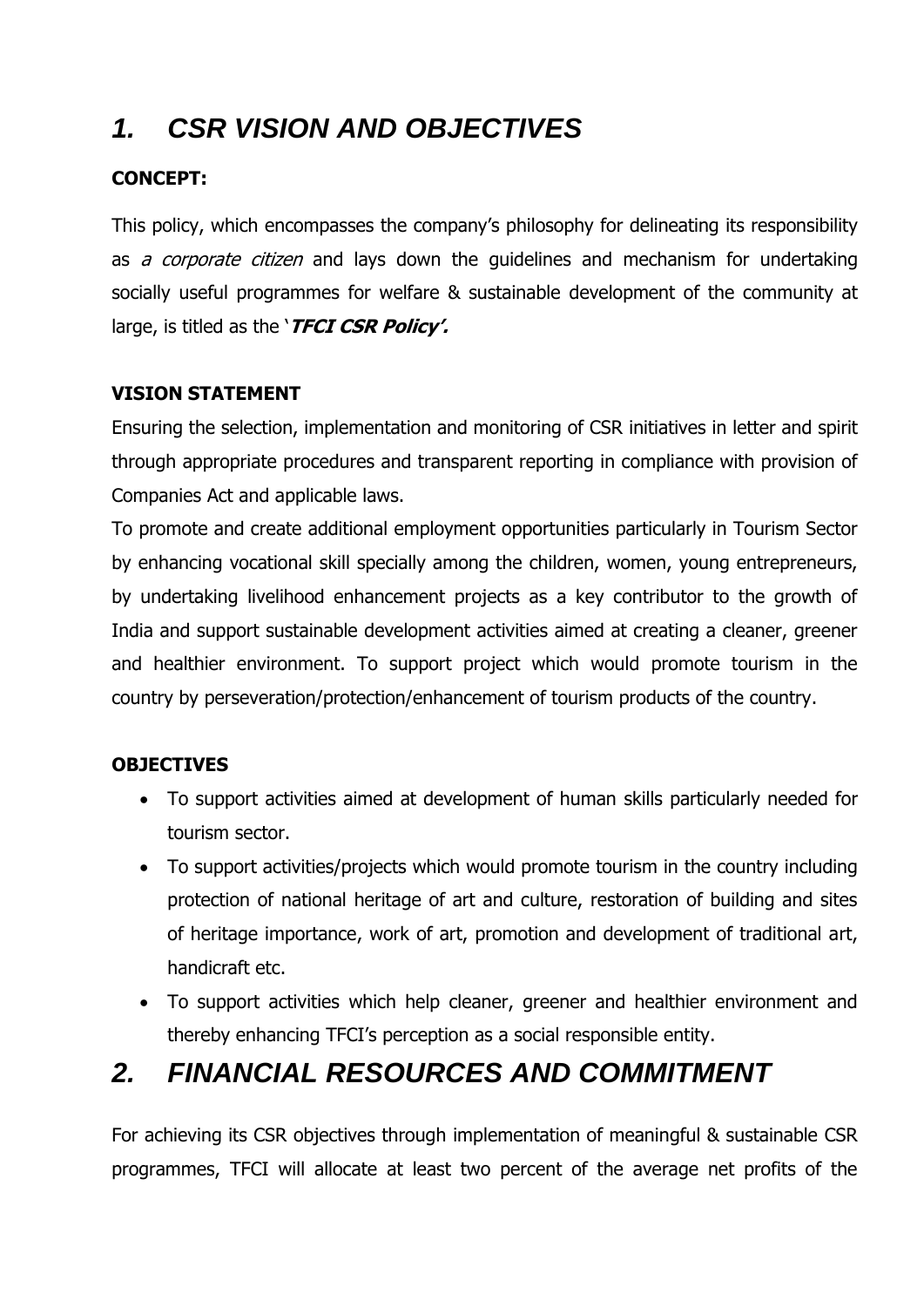# *1. CSR VISION AND OBJECTIVES*

### **CONCEPT:**

This policy, which encompasses the company's philosophy for delineating its responsibility as *a corporate citizen* and lays down the quidelines and mechanism for undertaking socially useful programmes for welfare & sustainable development of the community at large, is titled as the '**TFCI CSR Policy'.**

#### **VISION STATEMENT**

Ensuring the selection, implementation and monitoring of CSR initiatives in letter and spirit through appropriate procedures and transparent reporting in compliance with provision of Companies Act and applicable laws.

To promote and create additional employment opportunities particularly in Tourism Sector by enhancing vocational skill specially among the children, women, young entrepreneurs, by undertaking livelihood enhancement projects as a key contributor to the growth of India and support sustainable development activities aimed at creating a cleaner, greener and healthier environment. To support project which would promote tourism in the country by perseveration/protection/enhancement of tourism products of the country.

### **OBJECTIVES**

- To support activities aimed at development of human skills particularly needed for tourism sector.
- To support activities/projects which would promote tourism in the country including protection of national heritage of art and culture, restoration of building and sites of heritage importance, work of art, promotion and development of traditional art, handicraft etc.
- To support activities which help cleaner, greener and healthier environment and thereby enhancing TFCI's perception as a social responsible entity.

### *2. FINANCIAL RESOURCES AND COMMITMENT*

For achieving its CSR objectives through implementation of meaningful & sustainable CSR programmes, TFCI will allocate at least two percent of the average net profits of the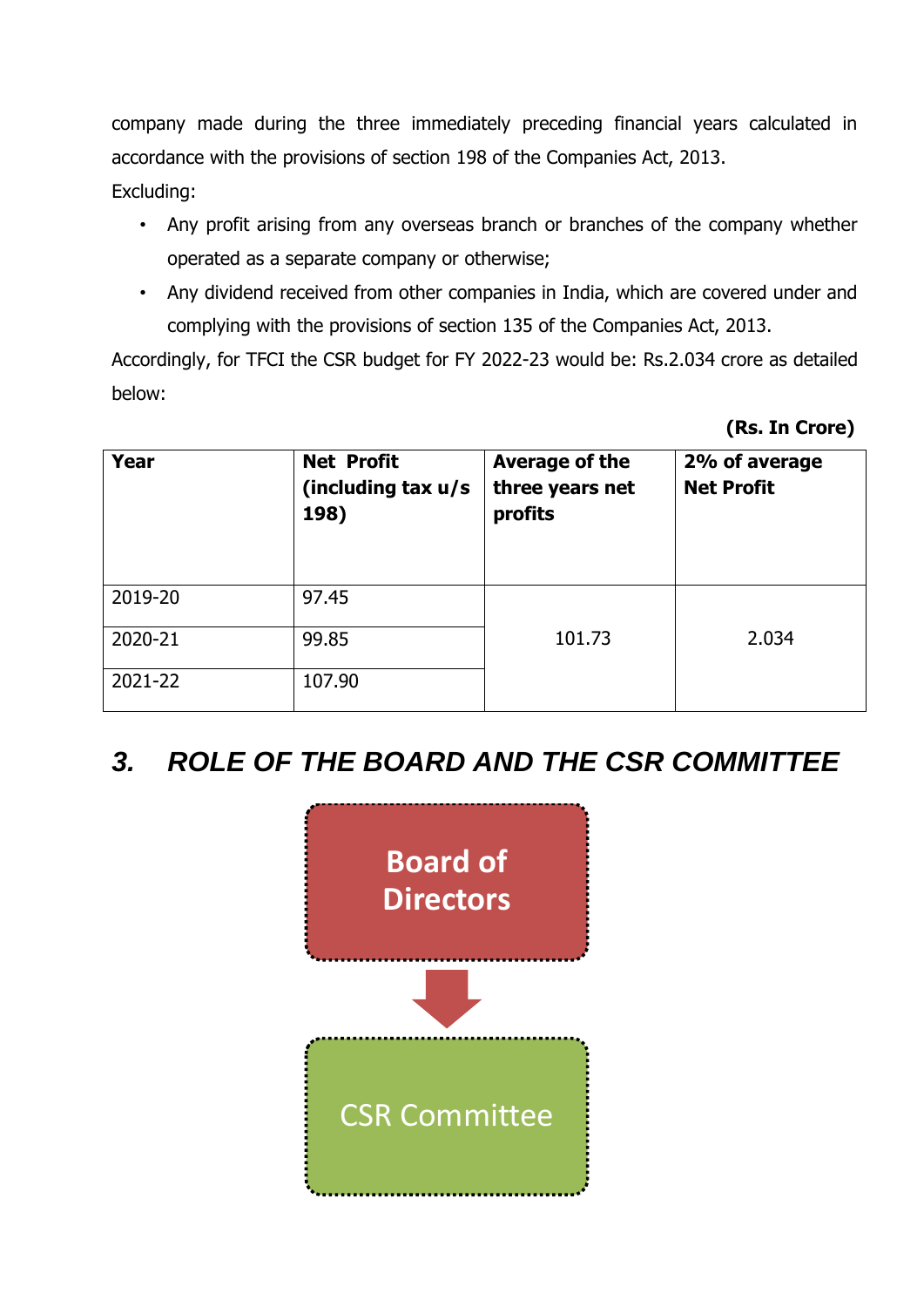company made during the three immediately preceding financial years calculated in accordance with the provisions of section 198 of the Companies Act, 2013. Excluding:

- Any profit arising from any overseas branch or branches of the company whether operated as a separate company or otherwise;
- Any dividend received from other companies in India, which are covered under and complying with the provisions of section 135 of the Companies Act, 2013.

Accordingly, for TFCI the CSR budget for FY 2022-23 would be: Rs.2.034 crore as detailed below:

**(Rs. In Crore)**

| <b>Year</b> | <b>Net Profit</b><br>(including tax u/s<br>198) | Average of the<br>three years net<br>profits | 2% of average<br><b>Net Profit</b> |
|-------------|-------------------------------------------------|----------------------------------------------|------------------------------------|
| 2019-20     | 97.45                                           |                                              |                                    |
| 2020-21     | 99.85                                           | 101.73                                       | 2.034                              |
| 2021-22     | 107.90                                          |                                              |                                    |

### *3. ROLE OF THE BOARD AND THE CSR COMMITTEE*

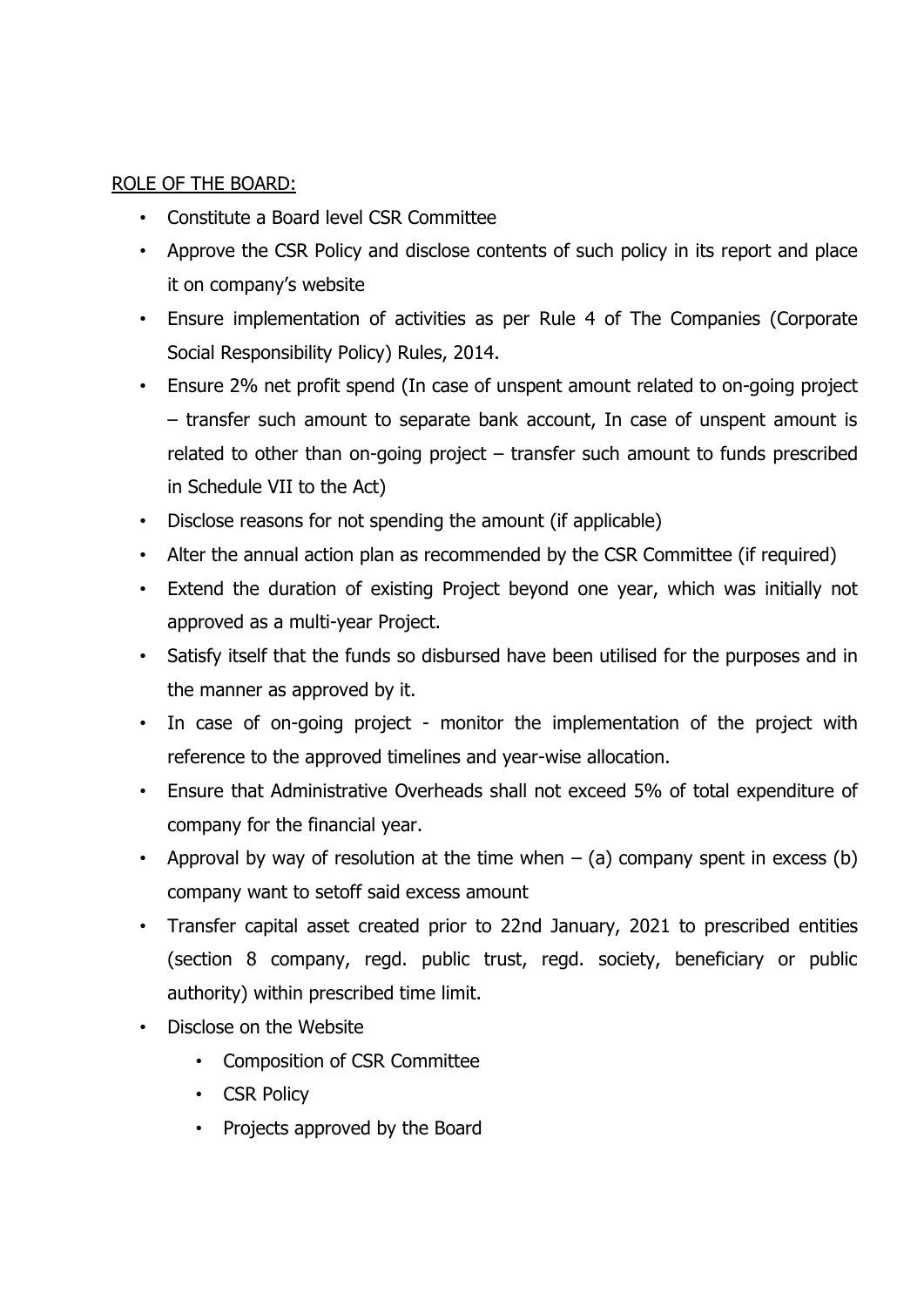#### ROLE OF THE BOARD:

- Constitute a Board level CSR Committee
- Approve the CSR Policy and disclose contents of such policy in its report and place it on company's website
- Ensure implementation of activities as per Rule 4 of The Companies (Corporate Social Responsibility Policy) Rules, 2014.
- Ensure 2% net profit spend (In case of unspent amount related to on-going project – transfer such amount to separate bank account, In case of unspent amount is related to other than on-going project – transfer such amount to funds prescribed in Schedule VII to the Act)
- Disclose reasons for not spending the amount (if applicable)
- Alter the annual action plan as recommended by the CSR Committee (if required)
- Extend the duration of existing Project beyond one year, which was initially not approved as a multi-year Project.
- Satisfy itself that the funds so disbursed have been utilised for the purposes and in the manner as approved by it.
- In case of on-going project monitor the implementation of the project with reference to the approved timelines and year-wise allocation.
- Ensure that Administrative Overheads shall not exceed 5% of total expenditure of company for the financial year.
- Approval by way of resolution at the time when  $-$  (a) company spent in excess (b) company want to setoff said excess amount
- Transfer capital asset created prior to 22nd January, 2021 to prescribed entities (section 8 company, regd. public trust, regd. society, beneficiary or public authority) within prescribed time limit.
- Disclose on the Website
	- Composition of CSR Committee
	- CSR Policy
	- Projects approved by the Board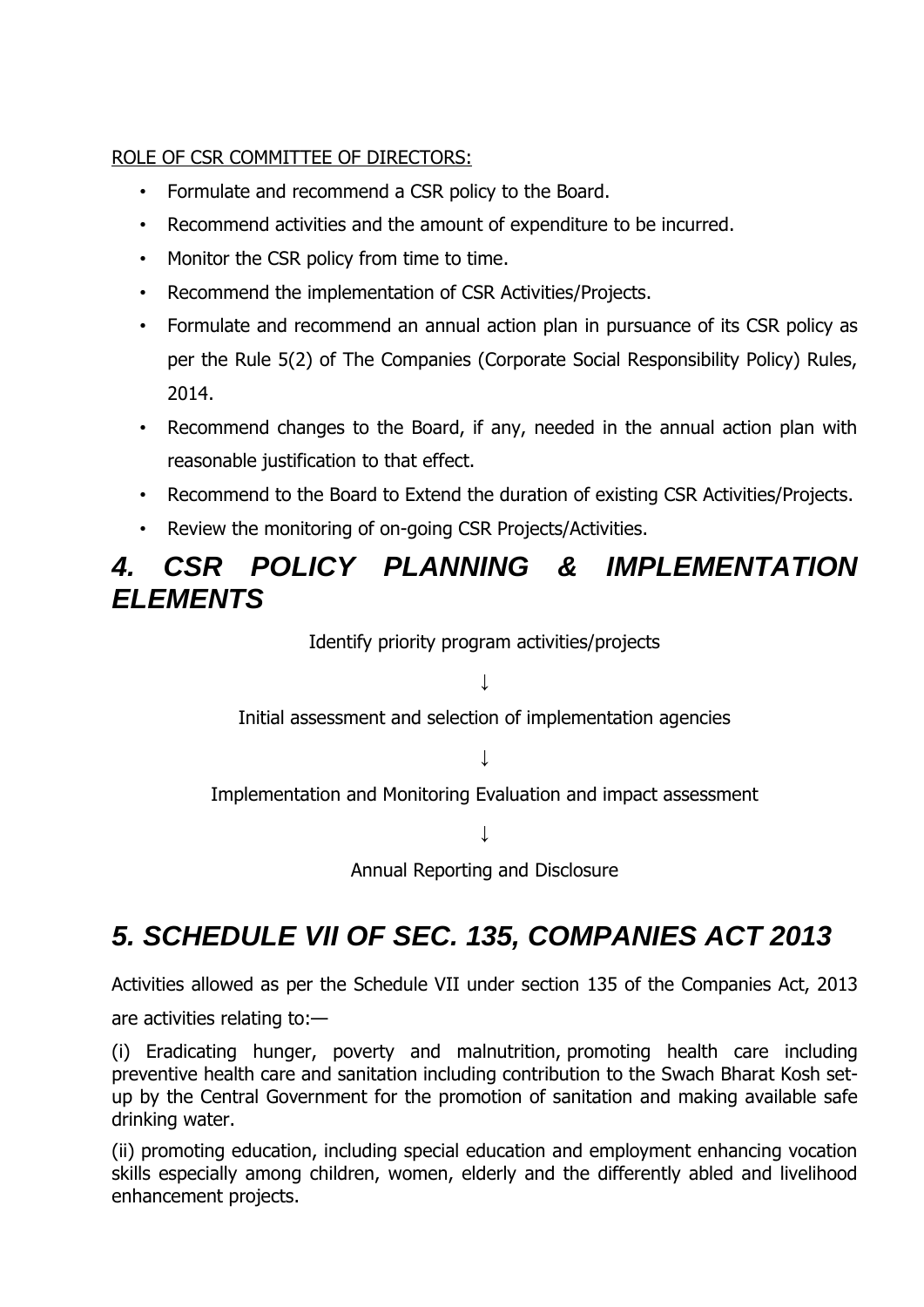#### ROLE OF CSR COMMITTEE OF DIRECTORS:

- Formulate and recommend a CSR policy to the Board.
- Recommend activities and the amount of expenditure to be incurred.
- Monitor the CSR policy from time to time.
- Recommend the implementation of CSR Activities/Projects.
- Formulate and recommend an annual action plan in pursuance of its CSR policy as per the Rule 5(2) of The Companies (Corporate Social Responsibility Policy) Rules, 2014.
- Recommend changes to the Board, if any, needed in the annual action plan with reasonable justification to that effect.
- Recommend to the Board to Extend the duration of existing CSR Activities/Projects.
- Review the monitoring of on-going CSR Projects/Activities.

### *4. CSR POLICY PLANNING & IMPLEMENTATION ELEMENTS*

Identify priority program activities/projects

 $\perp$ 

Initial assessment and selection of implementation agencies

 $\perp$ 

Implementation and Monitoring Evaluation and impact assessment

↓

Annual Reporting and Disclosure

# *5. SCHEDULE VII OF SEC. 135, COMPANIES ACT 2013*

Activities allowed as per the Schedule VII under section 135 of the Companies Act, 2013

are activities relating to:—

(i) Eradicating hunger, poverty and malnutrition, promoting health care including preventive health care and sanitation including contribution to the Swach Bharat Kosh setup by the Central Government for the promotion of sanitation and making available safe drinking water.

(ii) promoting education, including special education and employment enhancing vocation skills especially among children, women, elderly and the differently abled and livelihood enhancement projects.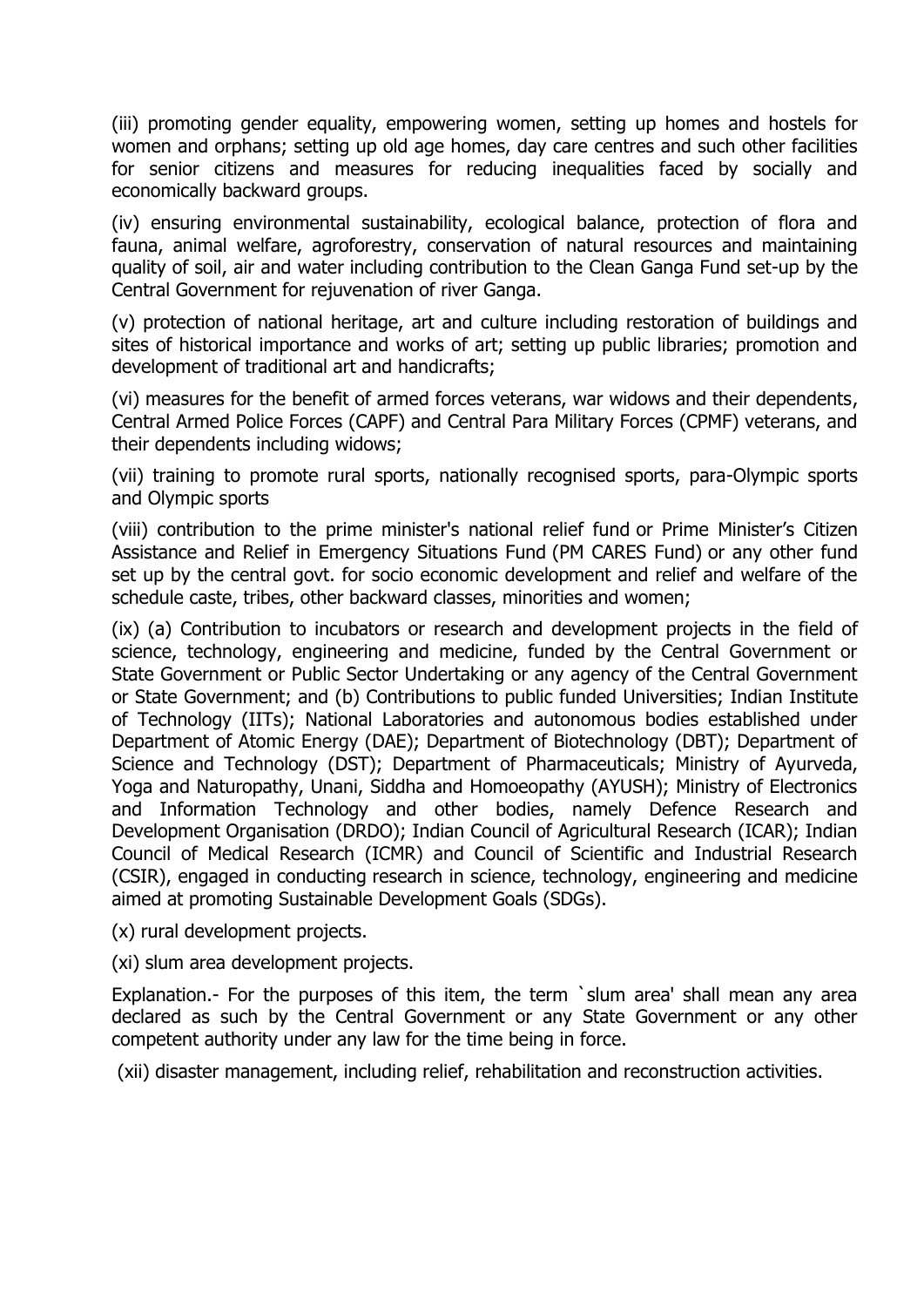(iii) promoting gender equality, empowering women, setting up homes and hostels for women and orphans; setting up old age homes, day care centres and such other facilities for senior citizens and measures for reducing inequalities faced by socially and economically backward groups.

(iv) ensuring environmental sustainability, ecological balance, protection of flora and fauna, animal welfare, agroforestry, conservation of natural resources and maintaining quality of soil, air and water including contribution to the Clean Ganga Fund set-up by the Central Government for rejuvenation of river Ganga.

(v) protection of national heritage, art and culture including restoration of buildings and sites of historical importance and works of art; setting up public libraries; promotion and development of traditional art and handicrafts;

(vi) measures for the benefit of armed forces veterans, war widows and their dependents, Central Armed Police Forces (CAPF) and Central Para Military Forces (CPMF) veterans, and their dependents including widows;

(vii) training to promote rural sports, nationally recognised sports, para-Olympic sports and Olympic sports

(viii) contribution to the prime minister's national relief fund or Prime Minister's Citizen Assistance and Relief in Emergency Situations Fund (PM CARES Fund) or any other fund set up by the central govt. for socio economic development and relief and welfare of the schedule caste, tribes, other backward classes, minorities and women;

(ix) (a) Contribution to incubators or research and development projects in the field of science, technology, engineering and medicine, funded by the Central Government or State Government or Public Sector Undertaking or any agency of the Central Government or State Government; and (b) Contributions to public funded Universities; Indian Institute of Technology (IITs); National Laboratories and autonomous bodies established under Department of Atomic Energy (DAE); Department of Biotechnology (DBT); Department of Science and Technology (DST); Department of Pharmaceuticals; Ministry of Ayurveda, Yoga and Naturopathy, Unani, Siddha and Homoeopathy (AYUSH); Ministry of Electronics and Information Technology and other bodies, namely Defence Research and Development Organisation (DRDO); Indian Council of Agricultural Research (ICAR); Indian Council of Medical Research (ICMR) and Council of Scientific and Industrial Research (CSIR), engaged in conducting research in science, technology, engineering and medicine aimed at promoting Sustainable Development Goals (SDGs).

(x) rural development projects.

(xi) slum area development projects.

Explanation.- For the purposes of this item, the term `slum area' shall mean any area declared as such by the Central Government or any State Government or any other competent authority under any law for the time being in force.

(xii) disaster management, including relief, rehabilitation and reconstruction activities.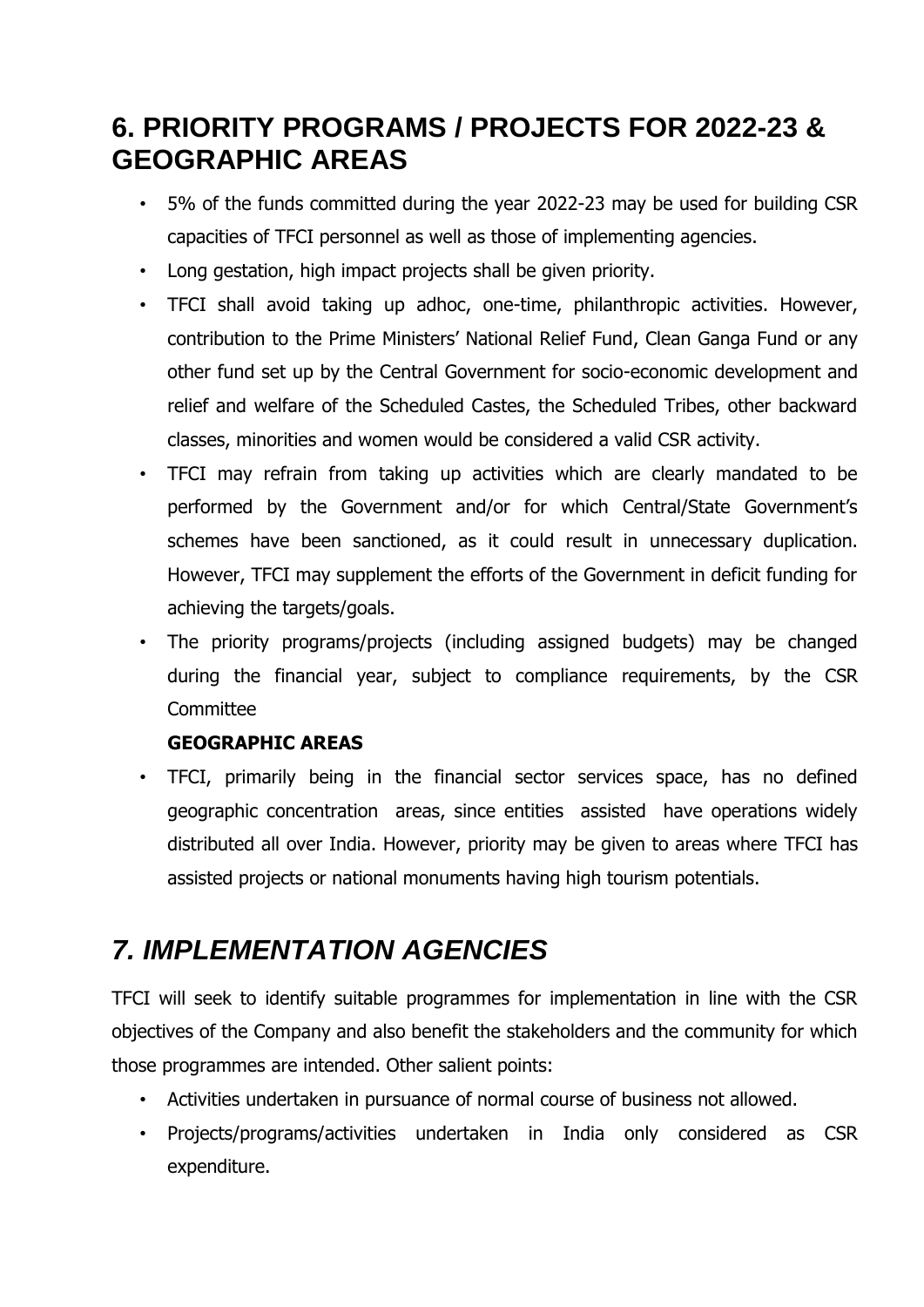# **6. PRIORITY PROGRAMS / PROJECTS FOR 2022-23 & GEOGRAPHIC AREAS**

- 5% of the funds committed during the year 2022-23 may be used for building CSR capacities of TFCI personnel as well as those of implementing agencies.
- Long gestation, high impact projects shall be given priority.
- TFCI shall avoid taking up adhoc, one-time, philanthropic activities. However, contribution to the Prime Ministers' National Relief Fund, Clean Ganga Fund or any other fund set up by the Central Government for socio-economic development and relief and welfare of the Scheduled Castes, the Scheduled Tribes, other backward classes, minorities and women would be considered a valid CSR activity.
- TFCI may refrain from taking up activities which are clearly mandated to be performed by the Government and/or for which Central/State Government's schemes have been sanctioned, as it could result in unnecessary duplication. However, TFCI may supplement the efforts of the Government in deficit funding for achieving the targets/goals.
- The priority programs/projects (including assigned budgets) may be changed during the financial year, subject to compliance requirements, by the CSR **Committee**

### **GEOGRAPHIC AREAS**

• TFCI, primarily being in the financial sector services space, has no defined geographic concentration areas, since entities assisted have operations widely distributed all over India. However, priority may be given to areas where TFCI has assisted projects or national monuments having high tourism potentials.

# *7. IMPLEMENTATION AGENCIES*

TFCI will seek to identify suitable programmes for implementation in line with the CSR objectives of the Company and also benefit the stakeholders and the community for which those programmes are intended. Other salient points:

- Activities undertaken in pursuance of normal course of business not allowed.
- Projects/programs/activities undertaken in India only considered as CSR expenditure.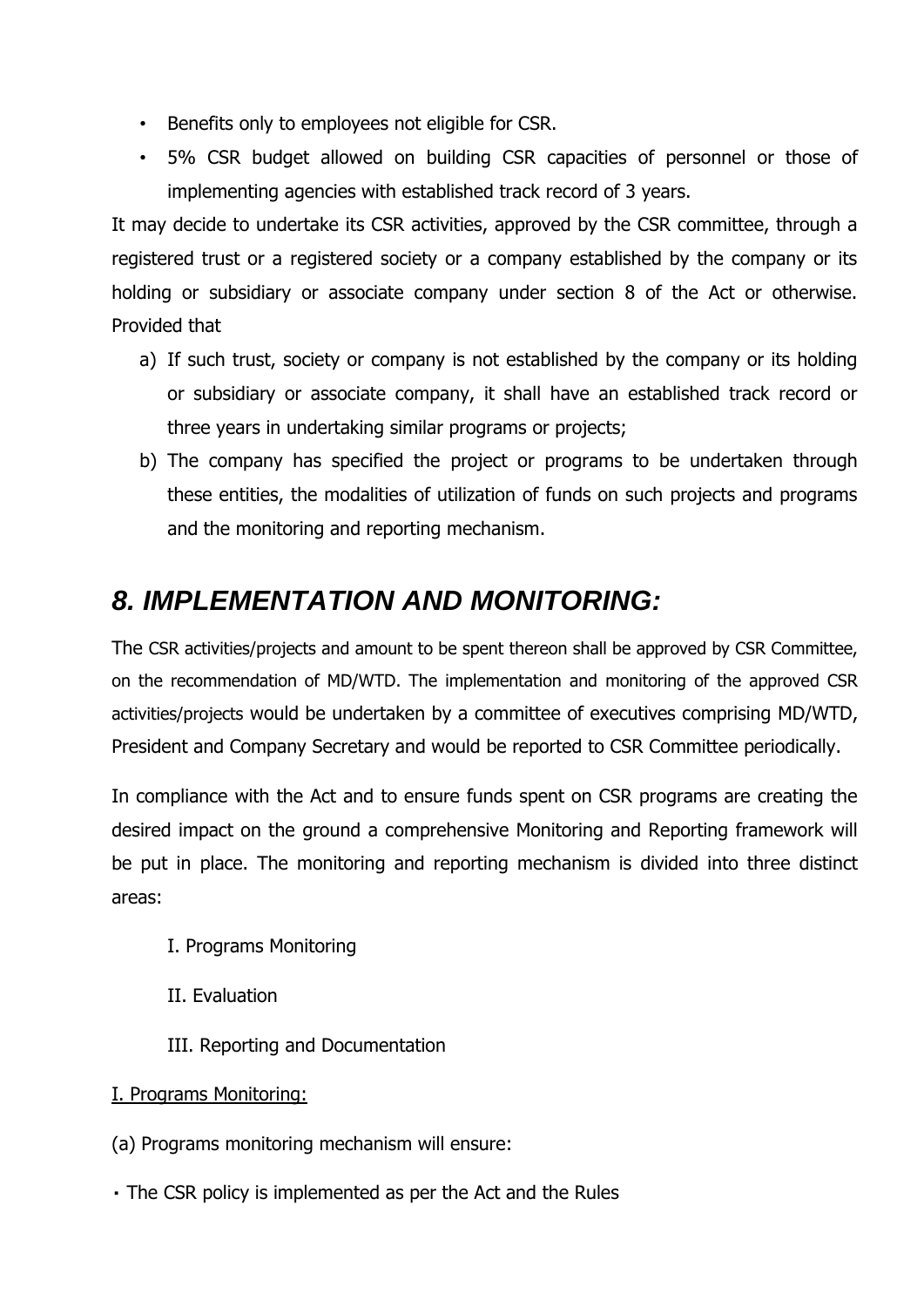- Benefits only to employees not eligible for CSR.
- 5% CSR budget allowed on building CSR capacities of personnel or those of implementing agencies with established track record of 3 years.

It may decide to undertake its CSR activities, approved by the CSR committee, through a registered trust or a registered society or a company established by the company or its holding or subsidiary or associate company under section 8 of the Act or otherwise. Provided that

- a) If such trust, society or company is not established by the company or its holding or subsidiary or associate company, it shall have an established track record or three years in undertaking similar programs or projects;
- b) The company has specified the project or programs to be undertaken through these entities, the modalities of utilization of funds on such projects and programs and the monitoring and reporting mechanism.

### *8. IMPLEMENTATION AND MONITORING:*

The CSR activities/projects and amount to be spent thereon shall be approved by CSR Committee, on the recommendation of MD/WTD. The implementation and monitoring of the approved CSR activities/projects would be undertaken by a committee of executives comprising MD/WTD, President and Company Secretary and would be reported to CSR Committee periodically.

In compliance with the Act and to ensure funds spent on CSR programs are creating the desired impact on the ground a comprehensive Monitoring and Reporting framework will be put in place. The monitoring and reporting mechanism is divided into three distinct areas:

- I. Programs Monitoring
- II. Evaluation
- III. Reporting and Documentation
- I. Programs Monitoring:
- (a) Programs monitoring mechanism will ensure:
- The CSR policy is implemented as per the Act and the Rules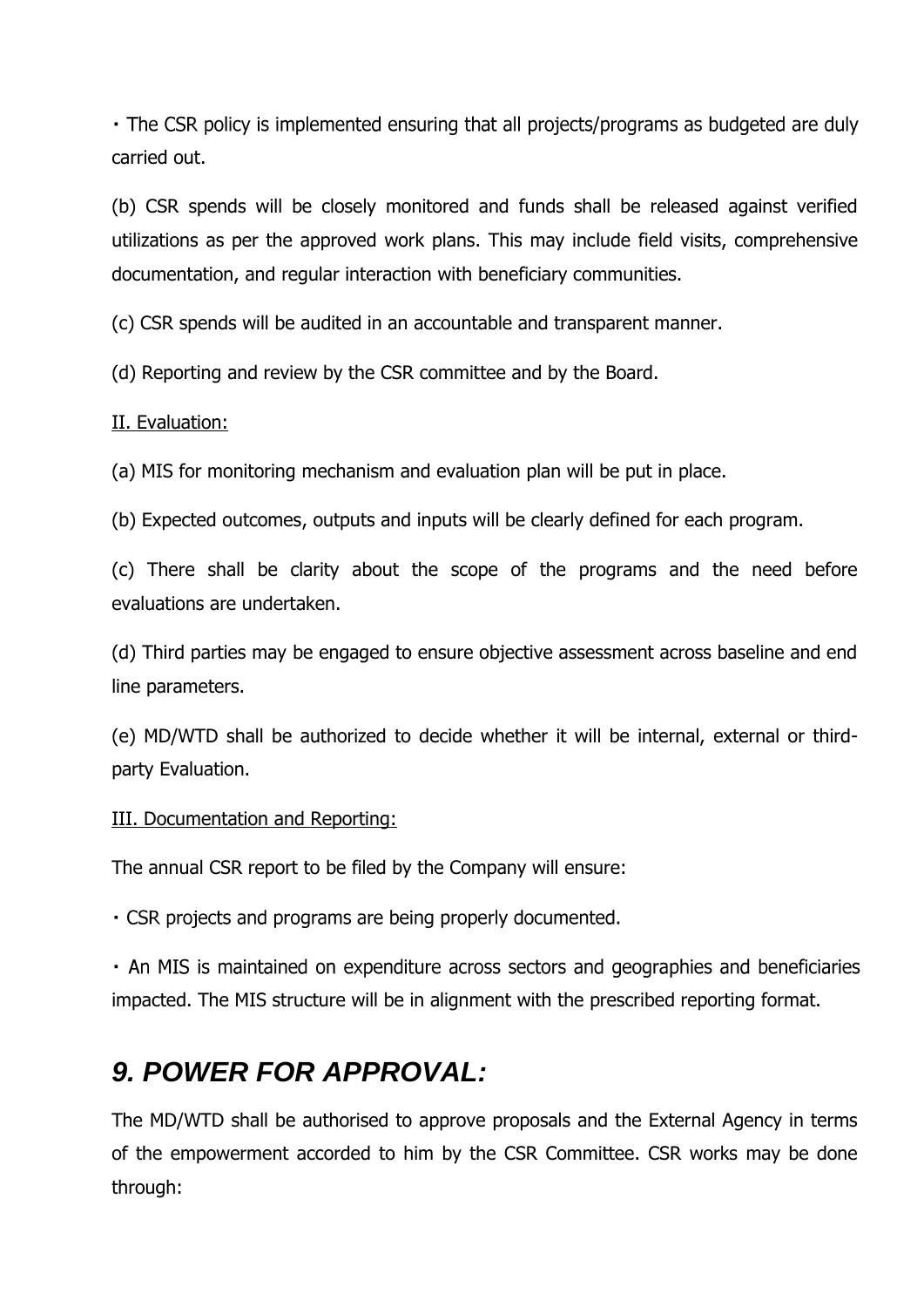• The CSR policy is implemented ensuring that all projects/programs as budgeted are duly carried out.

(b) CSR spends will be closely monitored and funds shall be released against verified utilizations as per the approved work plans. This may include field visits, comprehensive documentation, and regular interaction with beneficiary communities.

(c) CSR spends will be audited in an accountable and transparent manner.

(d) Reporting and review by the CSR committee and by the Board.

#### II. Evaluation:

(a) MIS for monitoring mechanism and evaluation plan will be put in place.

(b) Expected outcomes, outputs and inputs will be clearly defined for each program.

(c) There shall be clarity about the scope of the programs and the need before evaluations are undertaken.

(d) Third parties may be engaged to ensure objective assessment across baseline and end line parameters.

(e) MD/WTD shall be authorized to decide whether it will be internal, external or thirdparty Evaluation.

III. Documentation and Reporting:

The annual CSR report to be filed by the Company will ensure:

. CSR projects and programs are being properly documented.

• An MIS is maintained on expenditure across sectors and geographies and beneficiaries impacted. The MIS structure will be in alignment with the prescribed reporting format.

### *9. POWER FOR APPROVAL:*

The MD/WTD shall be authorised to approve proposals and the External Agency in terms of the empowerment accorded to him by the CSR Committee. CSR works may be done through: